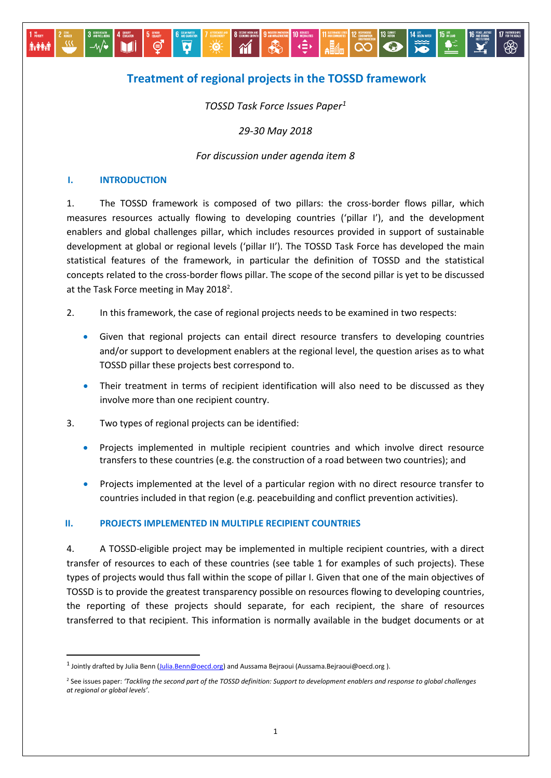# **Treatment of regional projects in the TOSSD framework**

 $\overrightarrow{=}$ 

**IL CONSUMPTION** 

 $\mathbb{E}$   $\mathbb{E}$   $\mathbb{E}$   $\mathbb{E}$   $\mathbb{E}$   $\mathbb{E}$   $\mathbb{E}$   $\mathbb{E}$   $\mathbb{E}$   $\mathbb{E}$   $\mathbb{E}$   $\mathbb{E}$   $\mathbb{E}$   $\mathbb{E}$   $\mathbb{E}$   $\mathbb{E}$   $\mathbb{E}$   $\mathbb{E}$   $\mathbb{E}$   $\mathbb{E}$   $\mathbb{E}$   $\mathbb{E}$   $\mathbb{E}$   $\mathbb{E}$   $\mathbb{$ 

*TOSSD Task Force Issues Paper<sup>1</sup>*

*29-30 May 2018*

## *For discussion under agenda item 8*

## **I. INTRODUCTION**

 $-\omega$ 

M

**Available** 

**.** 

1. The TOSSD framework is composed of two pillars: the cross-border flows pillar, which measures resources actually flowing to developing countries ('pillar I'), and the development enablers and global challenges pillar, which includes resources provided in support of sustainable development at global or regional levels ('pillar II'). The TOSSD Task Force has developed the main statistical features of the framework, in particular the definition of TOSSD and the statistical concepts related to the cross-border flows pillar. The scope of the second pillar is yet to be discussed at the Task Force meeting in May 2018<sup>2</sup>.

- 2. In this framework, the case of regional projects needs to be examined in two respects:
	- Given that regional projects can entail direct resource transfers to developing countries and/or support to development enablers at the regional level, the question arises as to what TOSSD pillar these projects best correspond to.
	- Their treatment in terms of recipient identification will also need to be discussed as they involve more than one recipient country.
- 3. Two types of regional projects can be identified:

 $\overline{\mathbf{d}}$ 

÷Ò.

 $\mathcal{M}$ 

- **•** Projects implemented in multiple recipient countries and which involve direct resource transfers to these countries (e.g. the construction of a road between two countries); and
- Projects implemented at the level of a particular region with no direct resource transfer to countries included in that region (e.g. peacebuilding and conflict prevention activities).

#### **II. PROJECTS IMPLEMENTED IN MULTIPLE RECIPIENT COUNTRIES**

4. A TOSSD-eligible project may be implemented in multiple recipient countries, with a direct transfer of resources to each of these countries (see table 1 for examples of such projects). These types of projects would thus fall within the scope of pillar I. Given that one of the main objectives of TOSSD is to provide the greatest transparency possible on resources flowing to developing countries, the reporting of these projects should separate, for each recipient, the share of resources transferred to that recipient. This information is normally available in the budget documents or at

<sup>&</sup>lt;sup>1</sup> Jointly drafted by Julia Benn (<u>Julia.Benn@oecd.org</u>) and Aussama Bejraoui (Aussama.Bejraoui@oecd.org ).

<sup>2</sup> See issues paper: *'Tackling the second part of the TOSSD definition: Support to development enablers and response to global challenges at regional or global levels'*.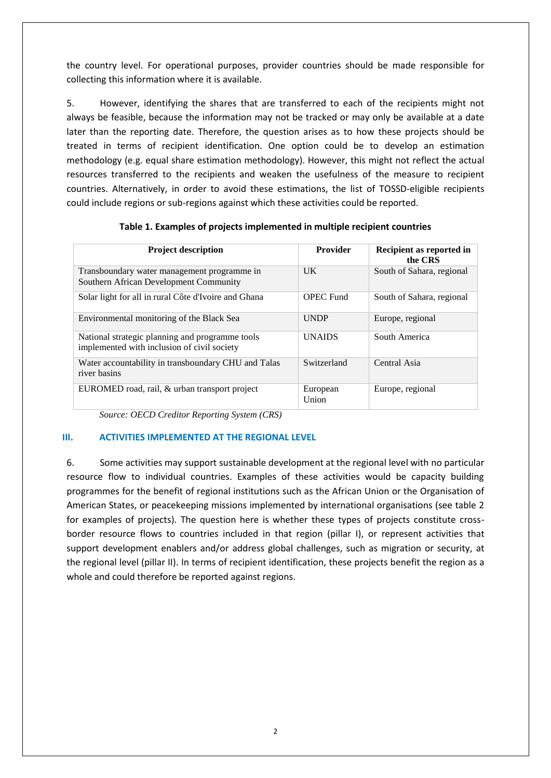the country level. For operational purposes, provider countries should be made responsible for collecting this information where it is available.

5. However, identifying the shares that are transferred to each of the recipients might not always be feasible, because the information may not be tracked or may only be available at a date later than the reporting date. Therefore, the question arises as to how these projects should be treated in terms of recipient identification. One option could be to develop an estimation methodology (e.g. equal share estimation methodology). However, this might not reflect the actual resources transferred to the recipients and weaken the usefulness of the measure to recipient countries. Alternatively, in order to avoid these estimations, the list of TOSSD-eligible recipients could include regions or sub-regions against which these activities could be reported.

| <b>Project description</b>                                                                     | <b>Provider</b>   | Recipient as reported in<br>the CRS |
|------------------------------------------------------------------------------------------------|-------------------|-------------------------------------|
| Transboundary water management programme in<br>Southern African Development Community          | $_{\rm{IJK}}$     | South of Sahara, regional           |
| Solar light for all in rural Côte d'Ivoire and Ghana                                           | <b>OPEC Fund</b>  | South of Sahara, regional           |
| Environmental monitoring of the Black Sea                                                      | <b>UNDP</b>       | Europe, regional                    |
| National strategic planning and programme tools<br>implemented with inclusion of civil society | <b>UNAIDS</b>     | South America                       |
| Water accountability in transboundary CHU and Talas<br>river basins                            | Switzerland       | Central Asia                        |
| EUROMED road, rail, & urban transport project                                                  | European<br>Union | Europe, regional                    |

**Table 1. Examples of projects implemented in multiple recipient countries**

*Source: OECD Creditor Reporting System (CRS)*

#### **III. ACTIVITIES IMPLEMENTED AT THE REGIONAL LEVEL**

6. Some activities may support sustainable development at the regional level with no particular resource flow to individual countries. Examples of these activities would be capacity building programmes for the benefit of regional institutions such as the African Union or the Organisation of American States, or peacekeeping missions implemented by international organisations (see table 2 for examples of projects). The question here is whether these types of projects constitute crossborder resource flows to countries included in that region (pillar I), or represent activities that support development enablers and/or address global challenges, such as migration or security, at the regional level (pillar II). In terms of recipient identification, these projects benefit the region as a whole and could therefore be reported against regions.